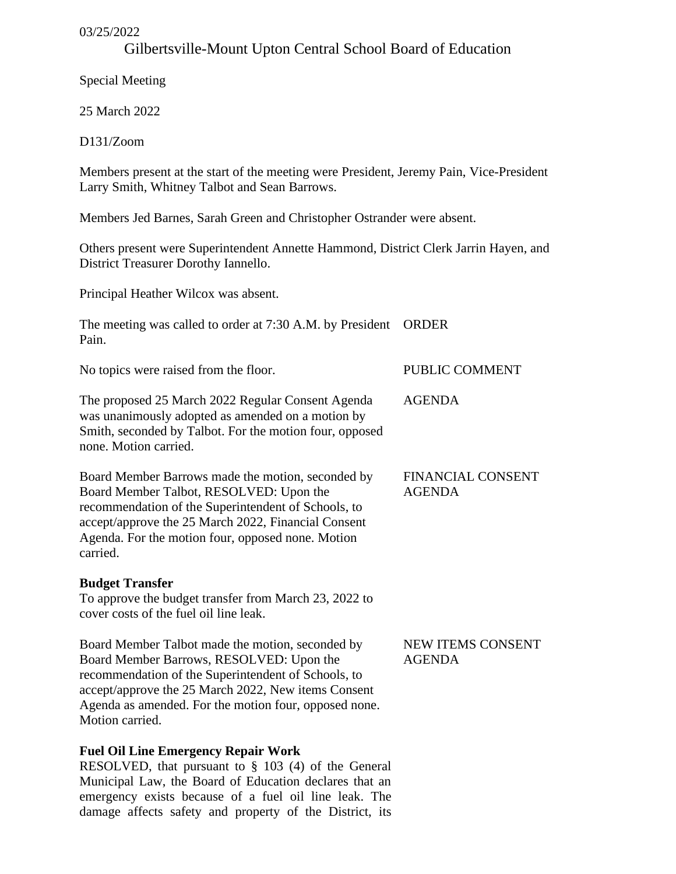### 03/25/2022

# Gilbertsville-Mount Upton Central School Board of Education

Special Meeting

25 March 2022

D131/Zoom

Members present at the start of the meeting were President, Jeremy Pain, Vice-President Larry Smith, Whitney Talbot and Sean Barrows.

Members Jed Barnes, Sarah Green and Christopher Ostrander were absent.

Others present were Superintendent Annette Hammond, District Clerk Jarrin Hayen, and District Treasurer Dorothy Iannello.

Principal Heather Wilcox was absent.

The meeting was called to order at 7:30 A.M. by President ORDER Pain.

No topics were raised from the floor.

The proposed 25 March 2022 Regular Consent Agenda was unanimously adopted as amended on a motion by Smith, seconded by Talbot. For the motion four, opposed none. Motion carried.

Board Member Barrows made the motion, seconded by Board Member Talbot, RESOLVED: Upon the recommendation of the Superintendent of Schools, to accept/approve the 25 March 2022, Financial Consent Agenda. For the motion four, opposed none. Motion carried.

## **Budget Transfer**

To approve the budget transfer from March 23, 2022 to cover costs of the fuel oil line leak.

Board Member Talbot made the motion, seconded by Board Member Barrows, RESOLVED: Upon the recommendation of the Superintendent of Schools, to accept/approve the 25 March 2022, New items Consent Agenda as amended. For the motion four, opposed none. Motion carried.

# **Fuel Oil Line Emergency Repair Work**

RESOLVED, that pursuant to § 103 (4) of the General Municipal Law, the Board of Education declares that an emergency exists because of a fuel oil line leak. The damage affects safety and property of the District, its

FINANCIAL CONSENT AGENDA

PUBLIC COMMENT

AGENDA

NEW ITEMS CONSENT AGENDA